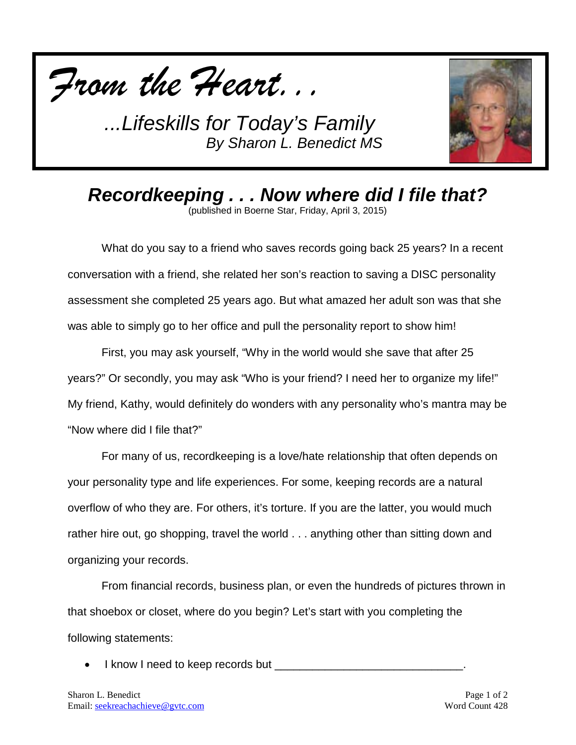



*Recordkeeping . . . Now where did I file that?*

(published in Boerne Star, Friday, April 3, 2015)

What do you say to a friend who saves records going back 25 years? In a recent conversation with a friend, she related her son's reaction to saving a DISC personality assessment she completed 25 years ago. But what amazed her adult son was that she was able to simply go to her office and pull the personality report to show him!

First, you may ask yourself, "Why in the world would she save that after 25 years?" Or secondly, you may ask "Who is your friend? I need her to organize my life!" My friend, Kathy, would definitely do wonders with any personality who's mantra may be "Now where did I file that?"

For many of us, recordkeeping is a love/hate relationship that often depends on your personality type and life experiences. For some, keeping records are a natural overflow of who they are. For others, it's torture. If you are the latter, you would much rather hire out, go shopping, travel the world . . . anything other than sitting down and organizing your records.

From financial records, business plan, or even the hundreds of pictures thrown in that shoebox or closet, where do you begin? Let's start with you completing the following statements:

• I know I need to keep records but \_\_\_\_\_\_\_\_\_\_\_\_\_\_\_\_\_\_\_\_\_\_\_\_\_\_\_\_\_\_.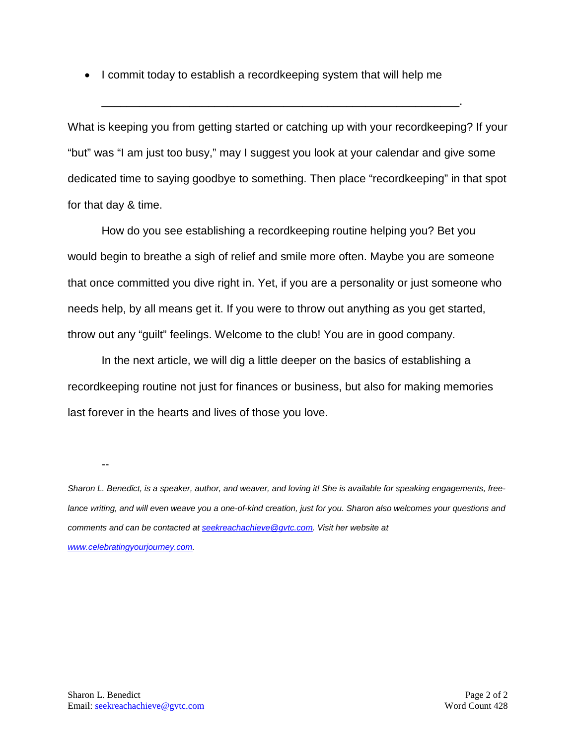• I commit today to establish a recordkeeping system that will help me

What is keeping you from getting started or catching up with your recordkeeping? If your "but" was "I am just too busy," may I suggest you look at your calendar and give some dedicated time to saying goodbye to something. Then place "recordkeeping" in that spot for that day & time.

\_\_\_\_\_\_\_\_\_\_\_\_\_\_\_\_\_\_\_\_\_\_\_\_\_\_\_\_\_\_\_\_\_\_\_\_\_\_\_\_\_\_\_\_\_\_\_\_\_\_\_\_\_\_\_\_\_.

How do you see establishing a recordkeeping routine helping you? Bet you would begin to breathe a sigh of relief and smile more often. Maybe you are someone that once committed you dive right in. Yet, if you are a personality or just someone who needs help, by all means get it. If you were to throw out anything as you get started, throw out any "guilt" feelings. Welcome to the club! You are in good company.

In the next article, we will dig a little deeper on the basics of establishing a recordkeeping routine not just for finances or business, but also for making memories last forever in the hearts and lives of those you love.

--

*Sharon L. Benedict, is a speaker, author, and weaver, and loving it! She is available for speaking engagements, free*lance writing, and will even weave you a one-of-kind creation, just for you. Sharon also welcomes your questions and *comments and can be contacted a[t seekreachachieve@gvtc.com.](mailto:seekreachachieve@gvtc.com) Visit her website at [www.celebratingyourjourney.com.](http://www.celebratingyourjourney.com/)*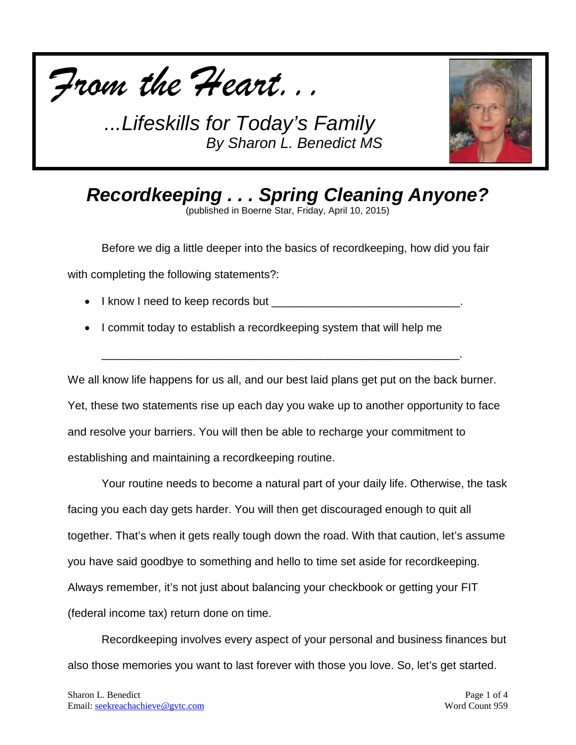



*Recordkeeping . . . Spring Cleaning Anyone?*

(published in Boerne Star, Friday, April 10, 2015)

Before we dig a little deeper into the basics of recordkeeping, how did you fair

with completing the following statements?:

- $\bullet$  l know I need to keep records but  $\bullet$
- I commit today to establish a recordkeeping system that will help me

We all know life happens for us all, and our best laid plans get put on the back burner. Yet, these two statements rise up each day you wake up to another opportunity to face and resolve your barriers. You will then be able to recharge your commitment to establishing and maintaining a recordkeeping routine.

\_\_\_\_\_\_\_\_\_\_\_\_\_\_\_\_\_\_\_\_\_\_\_\_\_\_\_\_\_\_\_\_\_\_\_\_\_\_\_\_\_\_\_\_\_\_\_\_\_\_\_\_\_\_\_\_\_.

Your routine needs to become a natural part of your daily life. Otherwise, the task facing you each day gets harder. You will then get discouraged enough to quit all together. That's when it gets really tough down the road. With that caution, let's assume you have said goodbye to something and hello to time set aside for recordkeeping. Always remember, it's not just about balancing your checkbook or getting your FIT (federal income tax) return done on time.

Recordkeeping involves every aspect of your personal and business finances but also those memories you want to last forever with those you love. So, let's get started.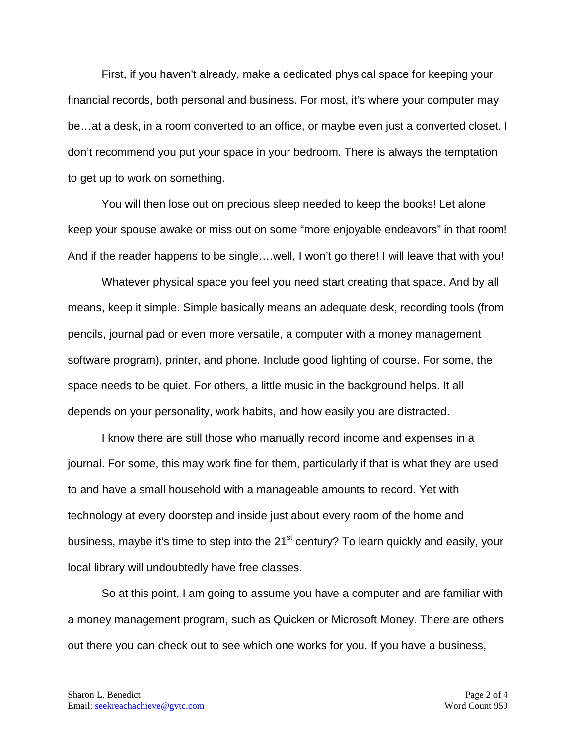First, if you haven't already, make a dedicated physical space for keeping your financial records, both personal and business. For most, it's where your computer may be…at a desk, in a room converted to an office, or maybe even just a converted closet. I don't recommend you put your space in your bedroom. There is always the temptation to get up to work on something.

You will then lose out on precious sleep needed to keep the books! Let alone keep your spouse awake or miss out on some "more enjoyable endeavors" in that room! And if the reader happens to be single….well, I won't go there! I will leave that with you!

Whatever physical space you feel you need start creating that space. And by all means, keep it simple. Simple basically means an adequate desk, recording tools (from pencils, journal pad or even more versatile, a computer with a money management software program), printer, and phone. Include good lighting of course. For some, the space needs to be quiet. For others, a little music in the background helps. It all depends on your personality, work habits, and how easily you are distracted.

I know there are still those who manually record income and expenses in a journal. For some, this may work fine for them, particularly if that is what they are used to and have a small household with a manageable amounts to record. Yet with technology at every doorstep and inside just about every room of the home and business, maybe it's time to step into the 21<sup>st</sup> century? To learn quickly and easily, your local library will undoubtedly have free classes.

So at this point, I am going to assume you have a computer and are familiar with a money management program, such as Quicken or Microsoft Money. There are others out there you can check out to see which one works for you. If you have a business,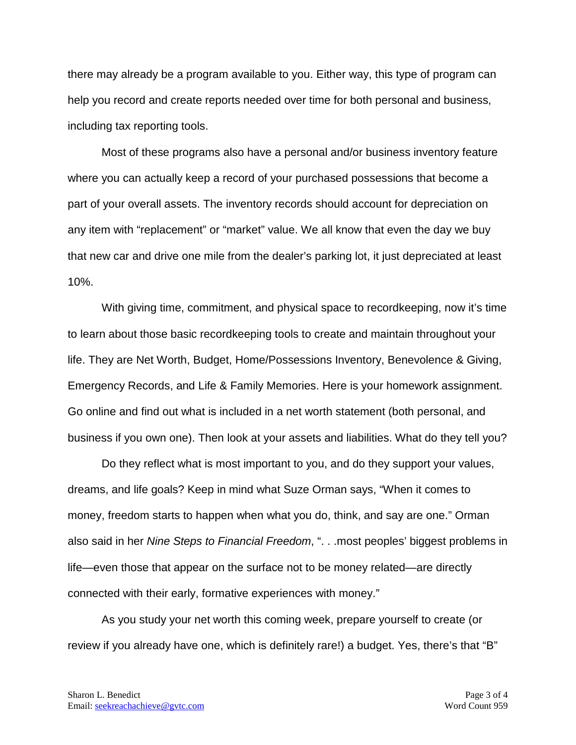there may already be a program available to you. Either way, this type of program can help you record and create reports needed over time for both personal and business, including tax reporting tools.

Most of these programs also have a personal and/or business inventory feature where you can actually keep a record of your purchased possessions that become a part of your overall assets. The inventory records should account for depreciation on any item with "replacement" or "market" value. We all know that even the day we buy that new car and drive one mile from the dealer's parking lot, it just depreciated at least 10%.

With giving time, commitment, and physical space to recordkeeping, now it's time to learn about those basic recordkeeping tools to create and maintain throughout your life. They are Net Worth, Budget, Home/Possessions Inventory, Benevolence & Giving, Emergency Records, and Life & Family Memories. Here is your homework assignment. Go online and find out what is included in a net worth statement (both personal, and business if you own one). Then look at your assets and liabilities. What do they tell you?

Do they reflect what is most important to you, and do they support your values, dreams, and life goals? Keep in mind what Suze Orman says, "When it comes to money, freedom starts to happen when what you do, think, and say are one." Orman also said in her *Nine Steps to Financial Freedom*, ". . .most peoples' biggest problems in life—even those that appear on the surface not to be money related—are directly connected with their early, formative experiences with money."

As you study your net worth this coming week, prepare yourself to create (or review if you already have one, which is definitely rare!) a budget. Yes, there's that "B"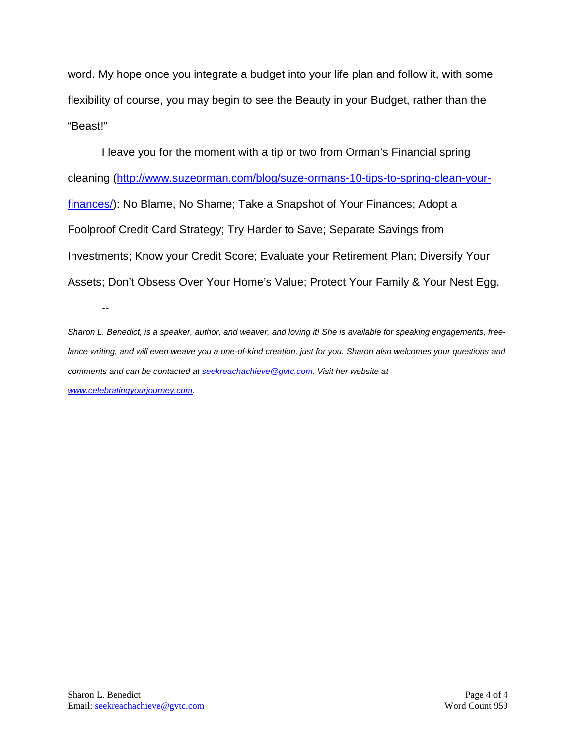word. My hope once you integrate a budget into your life plan and follow it, with some flexibility of course, you may begin to see the Beauty in your Budget, rather than the "Beast!"

I leave you for the moment with a tip or two from Orman's Financial spring cleaning [\(http://www.suzeorman.com/blog/suze-ormans-10-tips-to-spring-clean-your](http://www.suzeorman.com/blog/suze-ormans-10-tips-to-spring-clean-your-finances/)[finances/\)](http://www.suzeorman.com/blog/suze-ormans-10-tips-to-spring-clean-your-finances/): No Blame, No Shame; Take a Snapshot of Your Finances; Adopt a Foolproof Credit Card Strategy; Try Harder to Save; Separate Savings from Investments; Know your Credit Score; Evaluate your Retirement Plan; Diversify Your Assets; Don't Obsess Over Your Home's Value; Protect Your Family & Your Nest Egg.

*Sharon L. Benedict, is a speaker, author, and weaver, and loving it! She is available for speaking engagements, free*lance writing, and will even weave you a one-of-kind creation, just for you. Sharon also welcomes your questions and *comments and can be contacted a[t seekreachachieve@gvtc.com.](mailto:seekreachachieve@gvtc.com) Visit her website at [www.celebratingyourjourney.com.](http://www.celebratingyourjourney.com/)*

--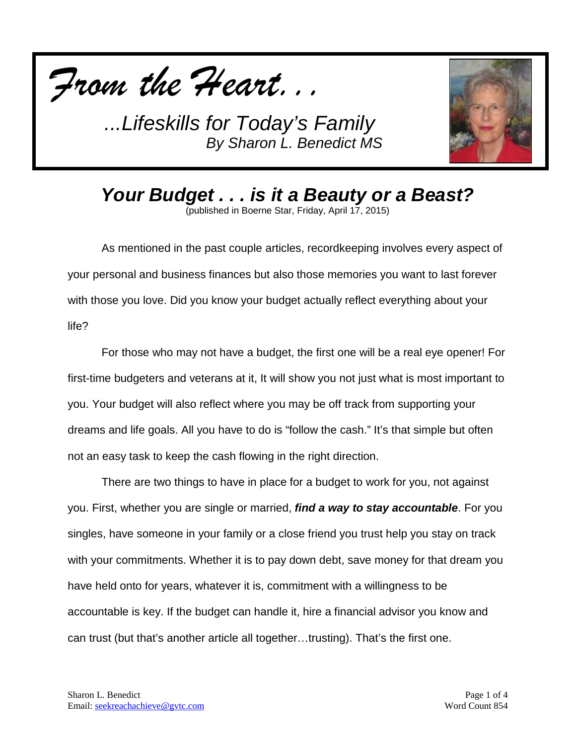



*Your Budget . . . is it a Beauty or a Beast?* (published in Boerne Star, Friday, April 17, 2015)

As mentioned in the past couple articles, recordkeeping involves every aspect of your personal and business finances but also those memories you want to last forever with those you love. Did you know your budget actually reflect everything about your life?

For those who may not have a budget, the first one will be a real eye opener! For first-time budgeters and veterans at it, It will show you not just what is most important to you. Your budget will also reflect where you may be off track from supporting your dreams and life goals. All you have to do is "follow the cash." It's that simple but often not an easy task to keep the cash flowing in the right direction.

There are two things to have in place for a budget to work for you, not against you. First, whether you are single or married, *find a way to stay accountable*. For you singles, have someone in your family or a close friend you trust help you stay on track with your commitments. Whether it is to pay down debt, save money for that dream you have held onto for years, whatever it is, commitment with a willingness to be accountable is key. If the budget can handle it, hire a financial advisor you know and can trust (but that's another article all together…trusting). That's the first one.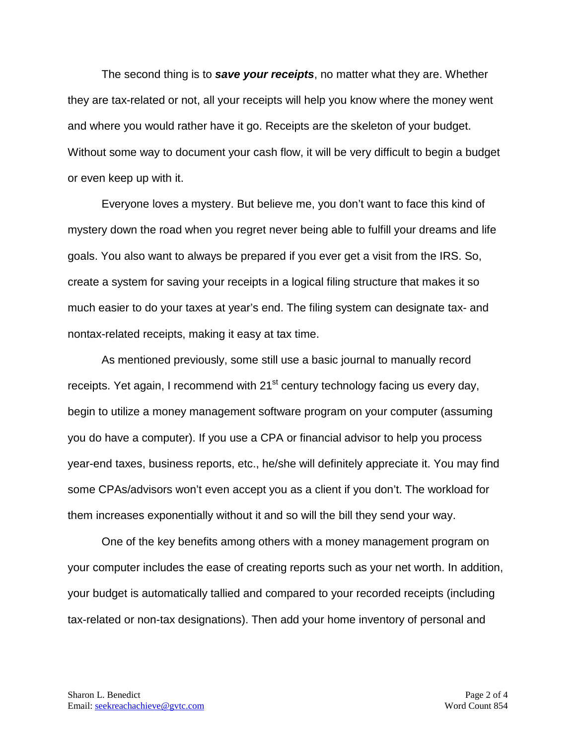The second thing is to *save your receipts*, no matter what they are. Whether they are tax-related or not, all your receipts will help you know where the money went and where you would rather have it go. Receipts are the skeleton of your budget. Without some way to document your cash flow, it will be very difficult to begin a budget or even keep up with it.

Everyone loves a mystery. But believe me, you don't want to face this kind of mystery down the road when you regret never being able to fulfill your dreams and life goals. You also want to always be prepared if you ever get a visit from the IRS. So, create a system for saving your receipts in a logical filing structure that makes it so much easier to do your taxes at year's end. The filing system can designate tax- and nontax-related receipts, making it easy at tax time.

As mentioned previously, some still use a basic journal to manually record receipts. Yet again, I recommend with 21<sup>st</sup> century technology facing us every day, begin to utilize a money management software program on your computer (assuming you do have a computer). If you use a CPA or financial advisor to help you process year-end taxes, business reports, etc., he/she will definitely appreciate it. You may find some CPAs/advisors won't even accept you as a client if you don't. The workload for them increases exponentially without it and so will the bill they send your way.

One of the key benefits among others with a money management program on your computer includes the ease of creating reports such as your net worth. In addition, your budget is automatically tallied and compared to your recorded receipts (including tax-related or non-tax designations). Then add your home inventory of personal and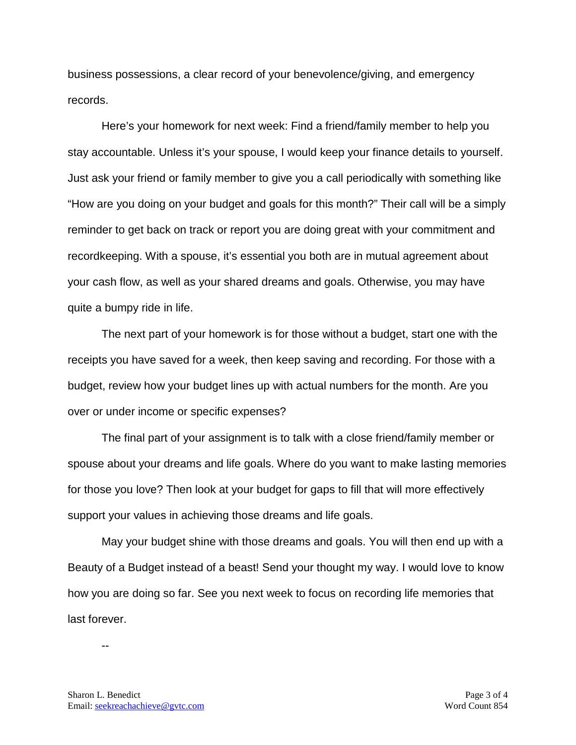business possessions, a clear record of your benevolence/giving, and emergency records.

Here's your homework for next week: Find a friend/family member to help you stay accountable. Unless it's your spouse, I would keep your finance details to yourself. Just ask your friend or family member to give you a call periodically with something like "How are you doing on your budget and goals for this month?" Their call will be a simply reminder to get back on track or report you are doing great with your commitment and recordkeeping. With a spouse, it's essential you both are in mutual agreement about your cash flow, as well as your shared dreams and goals. Otherwise, you may have quite a bumpy ride in life.

The next part of your homework is for those without a budget, start one with the receipts you have saved for a week, then keep saving and recording. For those with a budget, review how your budget lines up with actual numbers for the month. Are you over or under income or specific expenses?

The final part of your assignment is to talk with a close friend/family member or spouse about your dreams and life goals. Where do you want to make lasting memories for those you love? Then look at your budget for gaps to fill that will more effectively support your values in achieving those dreams and life goals.

May your budget shine with those dreams and goals. You will then end up with a Beauty of a Budget instead of a beast! Send your thought my way. I would love to know how you are doing so far. See you next week to focus on recording life memories that last forever.

--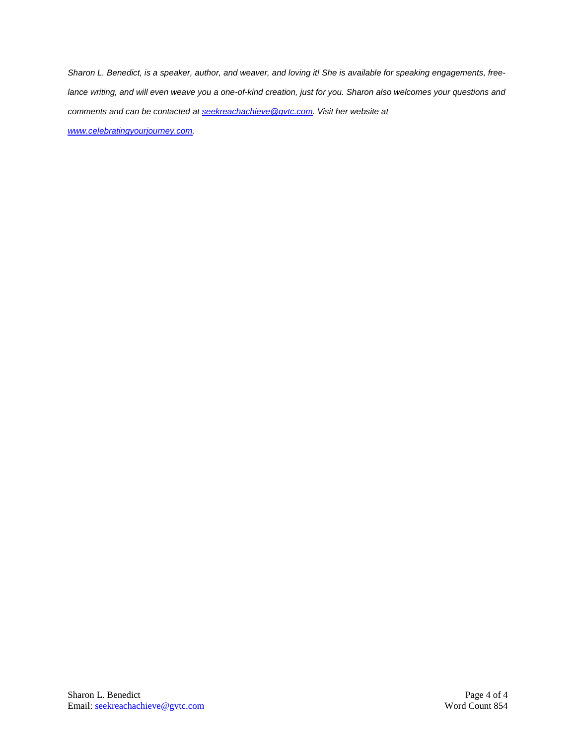*Sharon L. Benedict, is a speaker, author, and weaver, and loving it! She is available for speaking engagements, freelance writing, and will even weave you a one-of-kind creation, just for you. Sharon also welcomes your questions and comments and can be contacted a[t seekreachachieve@gvtc.com.](mailto:seekreachachieve@gvtc.com) Visit her website at [www.celebratingyourjourney.com.](http://www.celebratingyourjourney.com/)*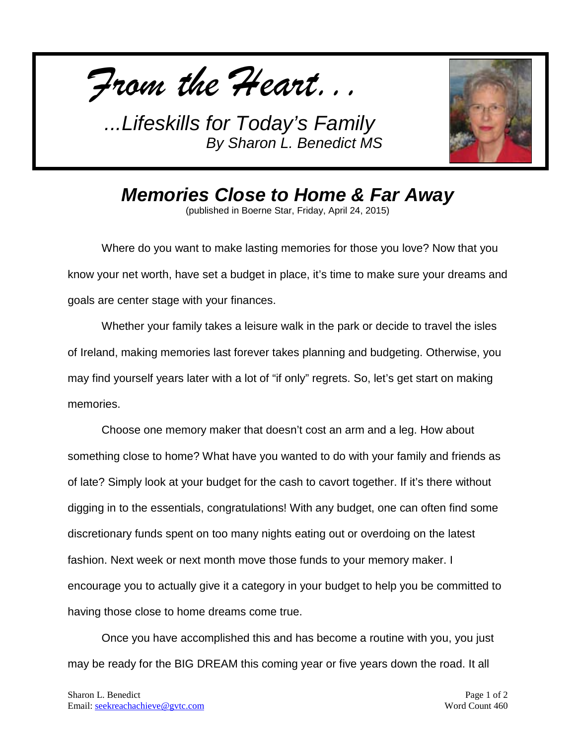



*Memories Close to Home & Far Away* (published in Boerne Star, Friday, April 24, 2015)

Where do you want to make lasting memories for those you love? Now that you know your net worth, have set a budget in place, it's time to make sure your dreams and goals are center stage with your finances.

Whether your family takes a leisure walk in the park or decide to travel the isles of Ireland, making memories last forever takes planning and budgeting. Otherwise, you may find yourself years later with a lot of "if only" regrets. So, let's get start on making memories.

Choose one memory maker that doesn't cost an arm and a leg. How about something close to home? What have you wanted to do with your family and friends as of late? Simply look at your budget for the cash to cavort together. If it's there without digging in to the essentials, congratulations! With any budget, one can often find some discretionary funds spent on too many nights eating out or overdoing on the latest fashion. Next week or next month move those funds to your memory maker. I encourage you to actually give it a category in your budget to help you be committed to having those close to home dreams come true.

Once you have accomplished this and has become a routine with you, you just may be ready for the BIG DREAM this coming year or five years down the road. It all